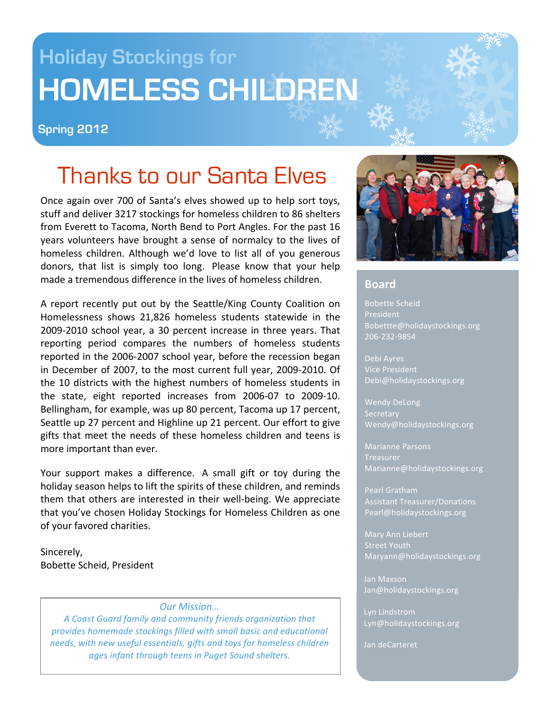# **Holiday Stockings for HOMELESS CHILDREN**

#### **Spring 2012**

# Thanks to our Santa Elves

Once again over 700 of Santa's elves showed up to help sort toys, stuff
and
deliver
3217
stockings
for
homeless
children
to 86
shelters from Everett to Tacoma, North Bend to Port Angles. For the past 16 years volunteers have brought a sense of normalcy to the lives of homeless children. Although we'd love to list all of you generous donors, that list is simply too long. Please know that your help made
a
tremendous
difference
in
the
lives
of
homeless
children.

A report recently put out by the Seattle/King County Coalition on Homelessness
 shows
 21,826
 homeless
 students
 statewide
 in
 the 2009‐2010
 school
 year,
 a
 30
 percent
 increase
 in
 three
 years.
 That reporting period compares the numbers of homeless students reported in the 2006-2007 school year, before the recession began in December of 2007, to the most current full year, 2009-2010. Of the 10 districts with the highest numbers of homeless students in the
 state,
 eight
 reported
 increases
 from
 2006‐07
 to
 2009‐10. Bellingham, for example, was up 80 percent, Tacoma up 17 percent, Seattle up 27 percent and Highline up 21 percent. Our effort to give gifts that meet the needs of these homeless children and teens is more
important
than
ever.

Your support makes a difference. A small gift or toy during the holiday season helps to lift the spirits of these children, and reminds them that others are interested in their well-being. We appreciate that you've chosen Holiday Stockings for Homeless Children as one of
your
favored
charities.

Sincerely, Bobette
Scheid,
President

#### *Our
Mission…*

*A
Coast
Guard
family
and
community
friends
organization
that provides
homemade
stockings
filled
with
small
basic
and
educational needs, with
new
useful
essentials,
gifts
and
toys
for
homeless
children ages
infant
through
teens
in
Puget
Sound
shelters.*



#### **Board**

Bobette
Scheid President Bobettte@holidaystockings.org 206‐232‐9854

Debi
Ayres Vice
President Debi@holidaystockings.org

Wendy
DeLong Secretary Wendy@holidaystockings.org

**Treasurer** Marianne@holidaystockings.org

Pearl
Gratham Assistant
Treasurer/Donations Pearl@holidaystockings.org

Mary
Ann
Liebert Maryann@holidaystockings.org

Jan
Maxson Jan@holidaystockings.org

Lyn
Lindstrom Lyn@holidaystockings.org

Jan
deCarteret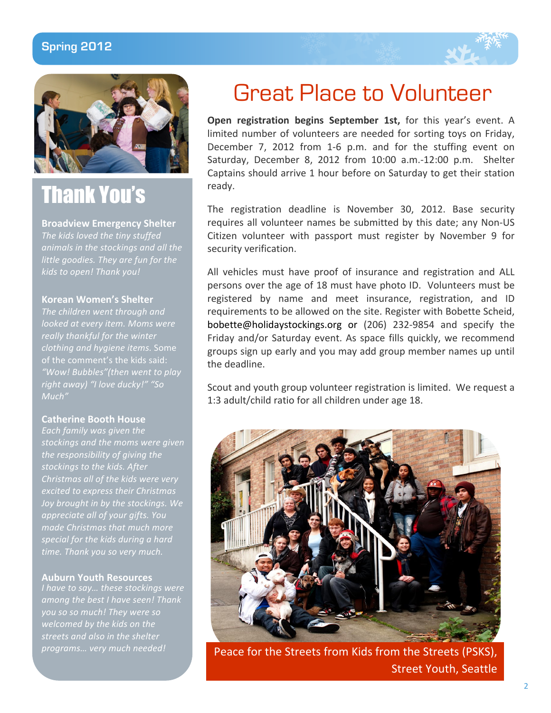#### **Spring 2012**





# Thank You's

*The
kids
loved
the
tiny
stuffed animals
in
the
stockings
and
all
the little
goodies.
They
are
fun
for
the*  **Broadview
Emergency
Shelter**

#### **Korean
Women's
Shelter**

*The
children
went
through
and looked
at
every
item.
Moms
were really
thankful
for
the
winter clothing
and
hygiene
items.* Some *"Wow!
Bubbles"(then
went
to
play right
away)
"I
love
ducky!"
"So Much"*

#### **Catherine
Booth
House**

*Each
family
was
given
the stockings
and
the
moms
were
given the
responsibility
of
giving
the*  stockings to the kids. After *excited
to
express
their
Christmas Joy
brought
in
by
the
stockings.
We appreciate
all
of
your
gifts.
You special
for
the
kids
during
a
hard time.
Thank
you
so
very
much.*

#### **Auburn
Youth
Resources**

*I
have
to
say…
these
stockings
were among
the
best
I
have
seen!
Thank welcomed
by
the
kids
on
the streets
and
also
in
the
shelter* 

### Great Place to Volunteer

**Open registration begins September 1st,** for this year's event. A limited number of volunteers are needed for sorting toys on Friday, December 7, 2012 from 1-6 p.m. and for the stuffing event on Saturday,
 December
 8,
 2012
 from
 10:00
 a.m.‐12:00
 p.m.

 Shelter Captains
should
arrive
1
hour
before
on
Saturday
to
get
their
station ready.

The registration deadline is November 30, 2012. Base security requires all volunteer names be submitted by this date; any Non-US Citizen volunteer with passport must register by November 9 for security
verification.

All vehicles must have proof of insurance and registration and ALL persons
over
the
age
of
18
must
have
photo
ID.

Volunteers
must
be registered by name and meet insurance, registration, and ID requirements to be allowed on the site. Register with Bobette Scheid, bobette@holidaystockings.org
 or
 (206)
 232‐9854
 and
 specify
 the Friday
and/or
 Saturday
event.
 As
 space
 fills
 quickly,
we
 recommend groups sign up early and you may add group member names up until the
deadline.

Scout and youth group volunteer registration is limited. We request a 1:3 adult/child ratio for all children under age 18.



programs... very much needed! **Peace for the Streets from Kids from the Streets (PSKS)**, Street
Youth,
Seattle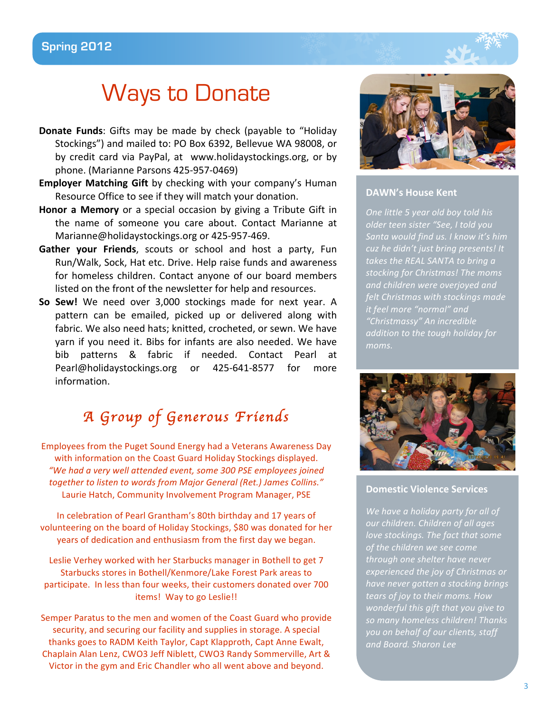### Ways to Donate

- **Donate Funds:** Gifts may be made by check (payable to "Holiday Stockings")
and
mailed
to:
PO
Box
6392,
Bellevue
WA
98008,
or by credit card via PayPal, at www.holidaystockings.org, or by phone.
(Marianne
Parsons
425‐957‐0469)
- **Employer Matching Gift** by checking with your company's Human Resource
Office
to
see
if
they
will
match
your
donation.
- **Honor a Memory** or a special occasion by giving a Tribute Gift in the name of someone you care about. Contact Marianne at Marianne@holidaystockings.org
or
425‐957‐469.
- Gather your Friends, scouts or school and host a party, Fun Run/Walk, Sock, Hat etc. Drive. Help raise funds and awareness for homeless children. Contact anyone of our board members listed on the front of the newsletter for help and resources.
- So Sew! We need over 3,000 stockings made for next year. A pattern
 can
 be
 emailed,
 picked
 up or delivered
 along
 with fabric. We also need hats; knitted, crocheted, or sewn. We have yarn if you need it. Bibs for infants are also needed. We have bib
 patterns
 &
 fabric
 if
 needed.
 Contact Pearl
 at Pearl@holidaystockings.org or 425-641-8577 for more information.

### *A Group of Generous Friends*

Employees
from
the
Puget
Sound
Energy
had
a
Veterans
Awareness
Day with information on the Coast Guard Holiday Stockings displayed. *"We
had
a
very
well
attended
event,
some
300
PSE
employees
joined*  together to listen to words from Major General (Ret.) James Collins." Laurie
Hatch,
Community
Involvement
Program
Manager,
PSE

In
celebration
of
Pearl
Grantham's
80th
birthday
and
17 years
of volunteering on the board of Holiday Stockings, \$80 was donated for her years
of
dedication
and
enthusiasm
from
the
first
day
we
began.

Leslie Verhey worked with her Starbucks manager in Bothell to get 7 Starbucks
stores
in
Bothell/Kenmore/Lake Forest
Park areas
to participate. In
less
than
four
weeks,
their
customers
donated
over
700 items! Way to go Leslie!!

Semper Paratus to the men and women of the Coast Guard who provide security, and securing our facility and supplies in storage. A special thanks
goes
to
RADM
Keith
Taylor,
Capt
Klapproth,
Capt
Anne
Ewalt, Chaplain
Alan
Lenz,
CWO3
Jeff
Niblett,
CWO3
Randy
Sommerville,
Art
& Victor in the gym and Eric Chandler who all went above and beyond.



#### **DAWN's
House
Kent**

*One
little
5
year
old
boy
told
his older
teen
sister
"See,
I
told
you Santa
would
find
us.
I
know
it's
him cuz
he
didn't
just
bring
presents!
It takes
the
REAL
SANTA
to
bring
a stocking
for
Christmas!
The
moms and
children
were
overjoyed
and felt
Christmas
with
stockings
made it
feel
more
"normal"
and "Christmassy"
An
incredible*  addition to the tough holiday for *moms.*



#### **Domestic
Violence
Services**

We have a holiday party for all of our children. Children of all ages *love
stockings.
The
fact
that
some of
the
children
we
see
come through
one
shelter
have
never experienced
the
joy
of
Christmas
or have
never
gotten
a
stocking
brings tears
of
joy
to
their
moms.
How wonderful
this
gift
that
you
give
to so
many
homeless
children!
Thanks you
on
behalf
of
our
clients,
staff and
Board.
Sharon
Lee*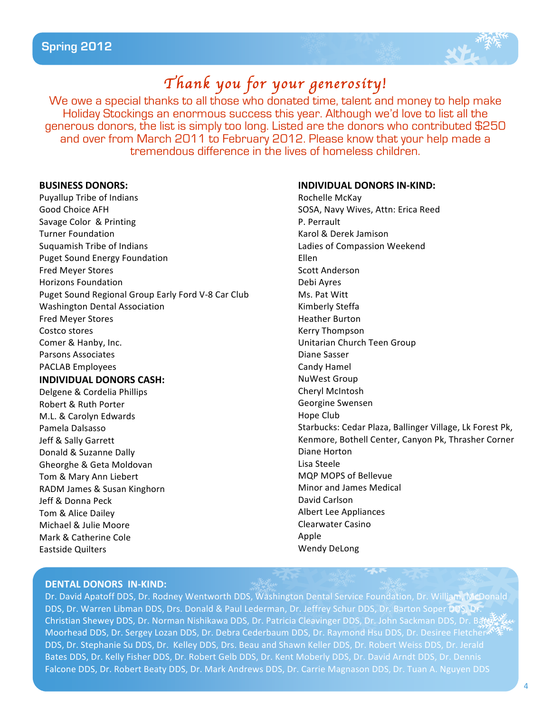

### *Thank you for your generosity!*

We owe a special thanks to all those who donated time, talent and money to help make Holiday Stockings an enormous success this year. Although we'd love to list all the generous donors, the list is simply too long. Listed are the donors who contributed \$250 and over from March 2011 to February 2012. Please know that your help made a tremendous difference in the lives of homeless children.

#### **BUSINESS
DONORS:**

Puyallup
Tribe
of
Indians Good
Choice
AFH Savage
Color &
Printing Turner
Foundation Suquamish
Tribe
of
Indians Puget
Sound
Energy
Foundation Fred
Meyer
Stores Horizons
Foundation Puget Sound Regional Group Early Ford V-8 Car Club Washington
Dental
Association Fred
Meyer
Stores Costco
stores Comer
&
Hanby,
Inc. Parsons
Associates PACLAB
Employees

#### **INDIVIDUAL
DONORS
CASH:**

Delgene
&
Cordelia
Phillips Robert
&
Ruth
Porter M.L.
&
Carolyn
Edwards Pamela
Dalsasso Jeff
&
Sally
Garrett Donald
&
Suzanne
Dally Gheorghe
& Geta
Moldovan Tom
&
Mary
Ann
Liebert RADM
James
&
Susan
Kinghorn Jeff
&
Donna
Peck Tom
&
Alice
Dailey Michael
&
Julie
Moore Mark
&
Catherine
Cole Eastside
Quilters

#### **INDIVIDUAL
DONORS
IN‐KIND:**

Rochelle
McKay SOSA,
Navy
Wives,
Attn:
Erica
Reed P.
Perrault Karol
&
Derek
Jamison Ladies
of
Compassion
Weekend Ellen Scott
Anderson Debi
Ayres Ms.
Pat
Witt Kimberly
Steffa Heather
Burton Kerry
Thompson Unitarian
Church
Teen
Group Diane
Sasser Candy
Hamel NuWest
Group Cheryl
McIntosh Georgine
Swensen Hope
Club Starbucks:
Cedar
Plaza,
Ballinger
Village,
Lk
Forest
Pk, Kenmore,
Bothell
Center,
Canyon
Pk,
Thrasher
Corner Diane
Horton Lisa
Steele MQP
MOPS
of
Bellevue Minor
and
James
Medical David
Carlson Albert
Lee
Appliances Clearwater
Casino Apple Wendy
DeLong

#### **DENTAL
DONORS IN‐KIND:**

Dr. David Apatoff DDS, Dr. Rodney Wentworth DDS, Washington Dental Service Foundation, Dr. William, McDonald DDS, Dr. Warren Libman DDS, Drs. Donald & Paul Lederman, Dr. Jeffrey Schur DDS, Dr. Barton Soper DDS, Dr. Christian Shewey DDS, Dr. Norman Nishikawa DDS, Dr. Patricia Cleavinger DDS, Dr. John Sackman DDS, Dr. B甜 Moorhead DDS, Dr. Sergey Lozan DDS, Dr. Debra Cederbaum DDS, Dr. Raymond Hsu DDS, Dr. Desiree Fletcher DDS, Dr. Stephanie Su DDS, Dr. Kelley DDS, Drs. Beau and Shawn Keller DDS, Dr. Robert Weiss DDS, Dr. Jerald Bates DDS, Dr. Kelly Fisher DDS, Dr. Robert Gelb DDS, Dr. Kent Moberly DDS, Dr. David Arndt DDS, Dr. Dennis Falcone DDS, Dr. Robert Beaty DDS, Dr. Mark Andrews DDS, Dr. Carrie Magnason DDS, Dr. Tuan A. Nguyen DDS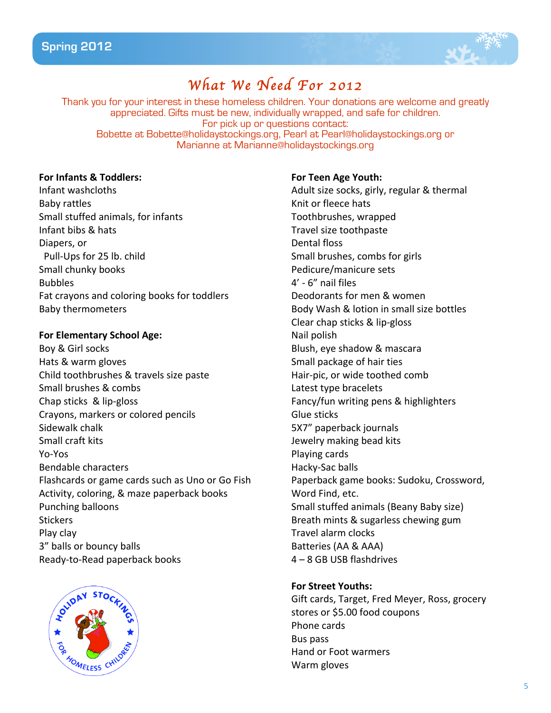

### *What We Need For 2012*

Thank you for your interest in these homeless children. Your donations are welcome and greatly appreciated. Gifts must be new, individually wrapped, and safe for children. For pick up or questions contact: Bobette at Bobette@holidaystockings.org, Pearl at Pearl@holidaystockings.org or Marianne at Marianne@holidaystockings.org

#### **For
Infants
&
Toddlers:**

Infant
washcloths Baby
rattles Small
stuffed
animals,
for
infants Infant
bibs
&
hats Diapers,
or Pull‐Ups
for
25
lb.
child Small
chunky
books Bubbles Fat
crayons
and
coloring
books
for
toddlers Baby
thermometers

#### **For
Elementary
School
Age:**

Boy
&
Girl
socks Hats
&
warm
gloves Child
toothbrushes
&
travels
size
paste Small
brushes
&
combs Chap
sticks

&
lip‐gloss Crayons,
markers
or
colored
pencils Sidewalk
chalk Small
craft
kits Yo‐Yos Bendable
characters Flashcards
or
game
cards
such
as
Uno
or
Go
Fish Activity,
coloring,
&
maze
paperback
books Punching
balloons **Stickers** Play
clay 3"
balls
or
bouncy
balls Ready‐to‐Read
paperback
books



#### **For
Teen
Age
Youth:**

Adult
size
socks,
girly,
regular
&
thermal Knit
or
fleece
hats Toothbrushes,
wrapped Travel
size
toothpaste Dental
floss Small
brushes,
combs
for
girls Pedicure/manicure
sets 4'
‐
6"
nail
files Deodorants
for
men
&
women Body
Wash
&
lotion
in
small
size
bottles Clear
chap
sticks
&
lip‐gloss Nail
polish Blush,
eye
shadow
&
mascara Small
package
of
hair
ties Hair‐pic,
or
wide
toothed
comb Latest
type
bracelets Fancy/fun
writing
pens
&
highlighters Glue
sticks 5X7"
paperback
journals Jewelry
making
bead
kits Playing
cards Hacky‐Sac
balls Paperback
game
books: Sudoku,
Crossword, Word
Find,
etc. Small
stuffed
animals
(Beany
Baby
size) Breath
mints
&
sugarless
chewing
gum Travel
alarm
clocks Batteries
(AA
&
AAA) 4
–
8
GB
USB
flashdrives

#### **For
Street
Youths:**

Gift
cards,
Target,
Fred
Meyer,
Ross,
grocery stores
or
\$5.00
food
coupons Phone
cards Bus
pass Hand
or
Foot
warmers Warm
gloves